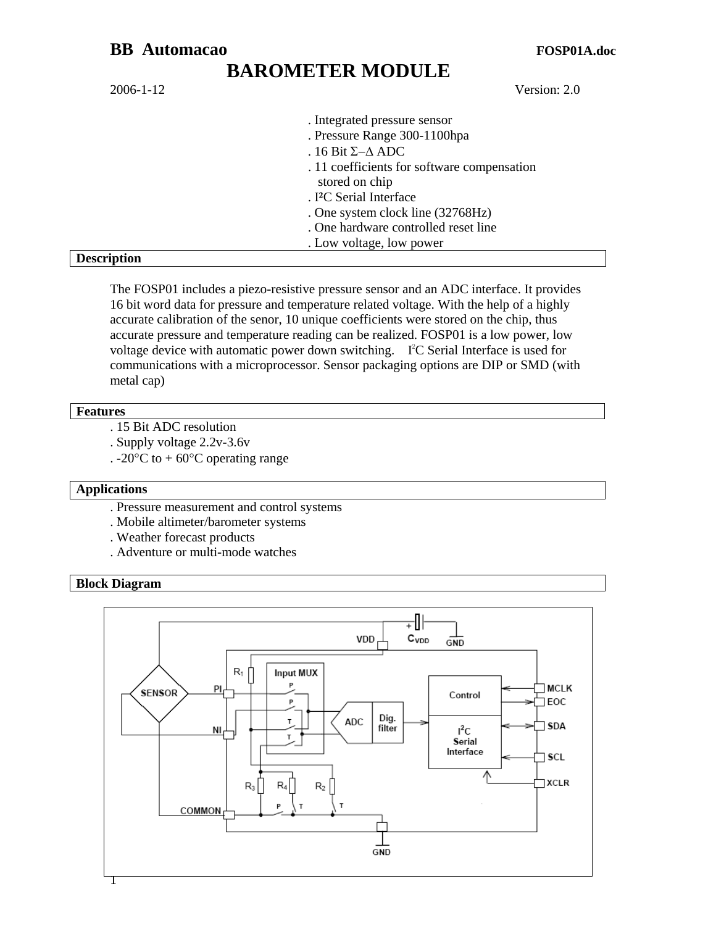2006-1-12 Version: 2.0

| . Integrated pressure sensor                |
|---------------------------------------------|
| . Pressure Range 300-1100hpa                |
| . 16 Bit $\Sigma-\Delta$ ADC                |
| . 11 coefficients for software compensation |
| stored on chip                              |
| . I <sup>2</sup> C Serial Interface         |
| . One system clock line (32768Hz)           |
| . One hardware controlled reset line        |
| . Low voltage, low power                    |

#### **Description**

The FOSP01 includes a piezo-resistive pressure sensor and an ADC interface. It provides 16 bit word data for pressure and temperature related voltage. With the help of a highly accurate calibration of the senor, 10 unique coefficients were stored on the chip, thus accurate pressure and temperature reading can be realized. FOSP01 is a low power, low voltage device with automatic power down switching. IªC Serial Interface is used for communications with a microprocessor. Sensor packaging options are DIP or SMD (with metal cap)

#### **Features**

- . 15 Bit ADC resolution
- . Supply voltage 2.2v-3.6v
- . -20 $\degree$ C to +60 $\degree$ C operating range

#### **Applications**

- . Pressure measurement and control systems
- . Mobile altimeter/barometer systems
- . Weather forecast products
- . Adventure or multi-mode watches

#### **Block Diagram**

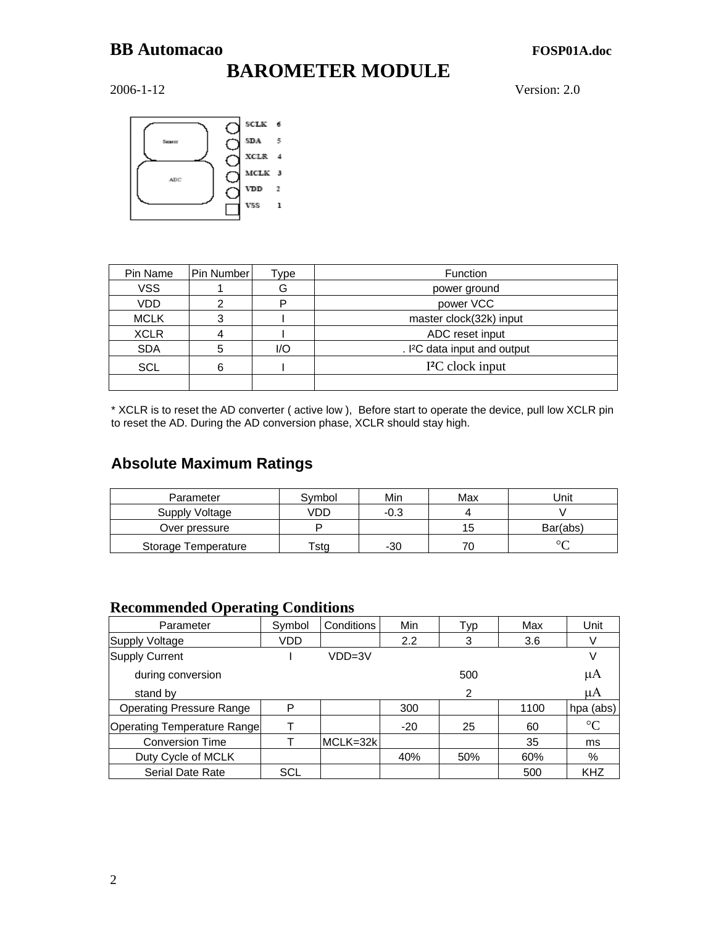# **BAROMETER MODULE**

2006-1-12 Version: 2.0



| Pin Name    | <b>Pin Number</b> | Гуре | Function                                 |
|-------------|-------------------|------|------------------------------------------|
| <b>VSS</b>  |                   | G    | power ground                             |
| <b>VDD</b>  |                   |      | power VCC                                |
| <b>MCLK</b> |                   |      | master clock(32k) input                  |
| <b>XCLR</b> | 4                 |      | ADC reset input                          |
| <b>SDA</b>  | 5                 | I/O  | . I <sup>2</sup> C data input and output |
| <b>SCL</b>  | 6                 |      | I <sup>2</sup> C clock input             |
|             |                   |      |                                          |

\* XCLR is to reset the AD converter ( active low ), Before start to operate the device, pull low XCLR pin to reset the AD. During the AD conversion phase, XCLR should stay high.

## **Absolute Maximum Ratings**

| Parameter           | Symbol                    | Min    | Max | Unit     |
|---------------------|---------------------------|--------|-----|----------|
| Supply Voltage      | √DΓ                       | $-0.3$ |     |          |
| Over pressure       |                           |        | 15  | Bar(abs) |
| Storage Temperature | $\mathsf{r}_\mathsf{sta}$ | -30    | 70  | $\sim$   |

### **Recommended Operating Conditions**

|                                    | ີ          |            |       |     |      |                 |
|------------------------------------|------------|------------|-------|-----|------|-----------------|
| Parameter                          | Symbol     | Conditions | Min   | Typ | Max  | Unit            |
| Supply Voltage                     | VDD        |            | 2.2   | 3   | 3.6  |                 |
| Supply Current                     |            | VDD=3V     |       |     |      |                 |
| during conversion                  |            |            |       | 500 |      | μA              |
| stand by                           |            |            |       | 2   |      | μA              |
| <b>Operating Pressure Range</b>    | P          |            | 300   |     | 1100 | hpa (abs)       |
| <b>Operating Temperature Range</b> |            |            | $-20$ | 25  | 60   | $\rm ^{\circ}C$ |
| <b>Conversion Time</b>             |            | MCLK=32k   |       |     | 35   | ms              |
| Duty Cycle of MCLK                 |            |            | 40%   | 50% | 60%  | %               |
| <b>Serial Date Rate</b>            | <b>SCL</b> |            |       |     | 500  | <b>KHZ</b>      |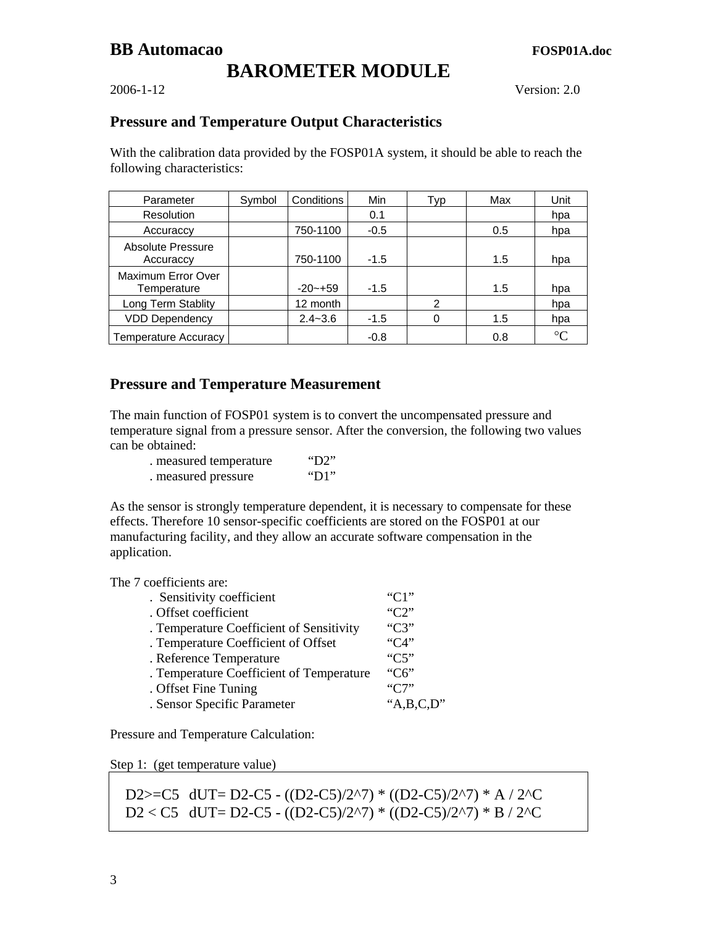## **BAROMETER MODULE**

2006-1-12 Version: 2.0

### **Pressure and Temperature Output Characteristics**

With the calibration data provided by the FOSP01A system, it should be able to reach the following characteristics:

| Parameter                         | Symbol | Conditions  | Min    | Typ           | Max | Unit            |
|-----------------------------------|--------|-------------|--------|---------------|-----|-----------------|
| Resolution                        |        |             | 0.1    |               |     | hpa             |
| Accuraccy                         |        | 750-1100    | $-0.5$ |               | 0.5 | hpa             |
| Absolute Pressure<br>Accuraccy    |        | 750-1100    | $-1.5$ |               | 1.5 | hpa             |
| Maximum Error Over<br>Temperature |        | $-20-+59$   | $-1.5$ |               | 1.5 | hpa             |
| Long Term Stablity                |        | 12 month    |        | $\mathcal{P}$ |     | hpa             |
| <b>VDD Dependency</b>             |        | $2.4 - 3.6$ | $-1.5$ | 0             | 1.5 | hpa             |
| <b>Temperature Accuracy</b>       |        |             | $-0.8$ |               | 0.8 | $\rm ^{\circ}C$ |

### **Pressure and Temperature Measurement**

The main function of FOSP01 system is to convert the uncompensated pressure and temperature signal from a pressure sensor. After the conversion, the following two values can be obtained:

| . measured temperature | "D2" |
|------------------------|------|
| . measured pressure    | "D1" |

As the sensor is strongly temperature dependent, it is necessary to compensate for these effects. Therefore 10 sensor-specific coefficients are stored on the FOSP01 at our manufacturing facility, and they allow an accurate software compensation in the application.

The 7 coefficients are:

| . Sensitivity coefficient                | $C1$ "   |
|------------------------------------------|----------|
| . Offset coefficient                     | " $C2$ " |
| . Temperature Coefficient of Sensitivity | " $C3$ " |
| . Temperature Coefficient of Offset      | C4       |
| . Reference Temperature                  | "C5"     |
| . Temperature Coefficient of Temperature | " $C6$ " |
| . Offset Fine Tuning                     | "C7"     |
| . Sensor Specific Parameter              | A.B.C.D' |

Pressure and Temperature Calculation:

Step 1: (get temperature value)

D2>=C5 dUT= D2-C5 - ((D2-C5)/2^7) \* ((D2-C5)/2^7) \* A / 2^C  $D2 < C5$  dUT= D2-C5 - ((D2-C5)/2^7) \* ((D2-C5)/2^7) \* B / 2^C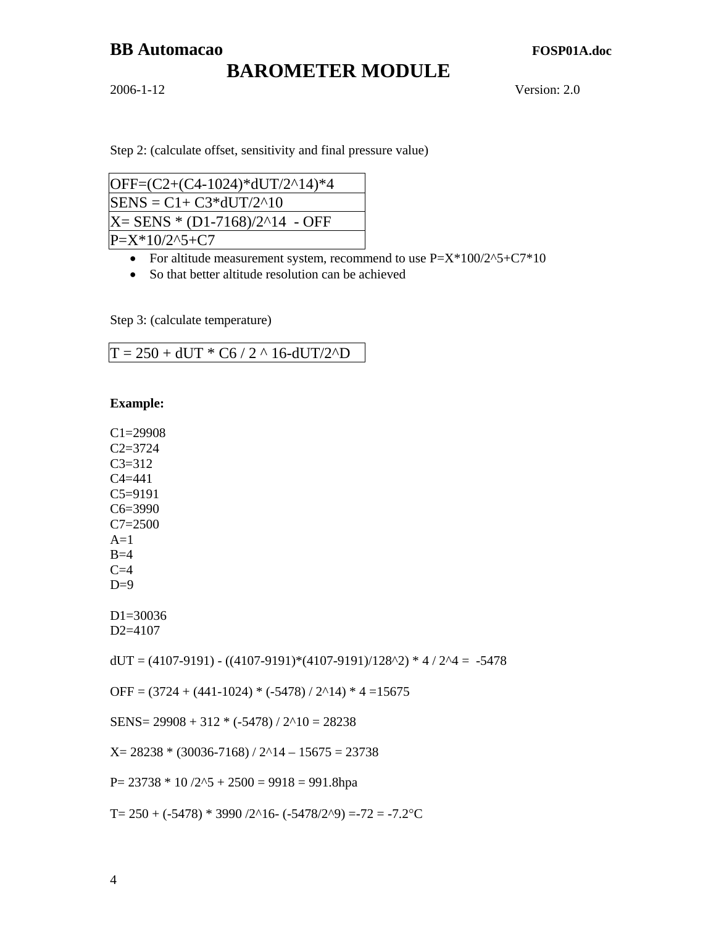# **BAROMETER MODULE**

2006-1-12 Version: 2.0

Step 2: (calculate offset, sensitivity and final pressure value)

| OFF=(C2+(C4-1024)*dUT/2^14)*4  |  |
|--------------------------------|--|
| $SENS = C1 + C3*dUT/2^10$      |  |
| X= SENS * (D1-7168)/2^14 - OFF |  |
| $P = X^*10/2^*5 + C7$          |  |

- For altitude measurement system, recommend to use  $P=X^*100/2^5+C7^*10$
- So that better altitude resolution can be achieved

Step 3: (calculate temperature)

|  | $T = 250 + dUT * C6 / 2 \land 16 - dUT/2 \land D$ |
|--|---------------------------------------------------|

**Example:** 

C1=29908  $C2 = 3724$ C3=312 C4=441 C5=9191 C6=3990 C7=2500  $A=1$  $B=4$  $C=4$  $D=9$ D1=30036 D2=4107  $dUT = (4107-9191) - ((4107-9191)*(4107-9191)/128^2)*4/2^4 = -5478$ OFF =  $(3724 + (441-1024) * (-5478) / 2^14) * 4 = 15675$ SENS=  $29908 + 312 * (-5478) / 2^10 = 28238$  $X= 28238 * (30036-7168) / 2^{14} - 15675 = 23738$ P=  $23738 * 10 / 2^5 + 2500 = 9918 = 991.8$ hpa

T=  $250 + (-5478) * 3990 / 2^{16} - (-5478 / 2^{19}) = -72 = -7.2$ °C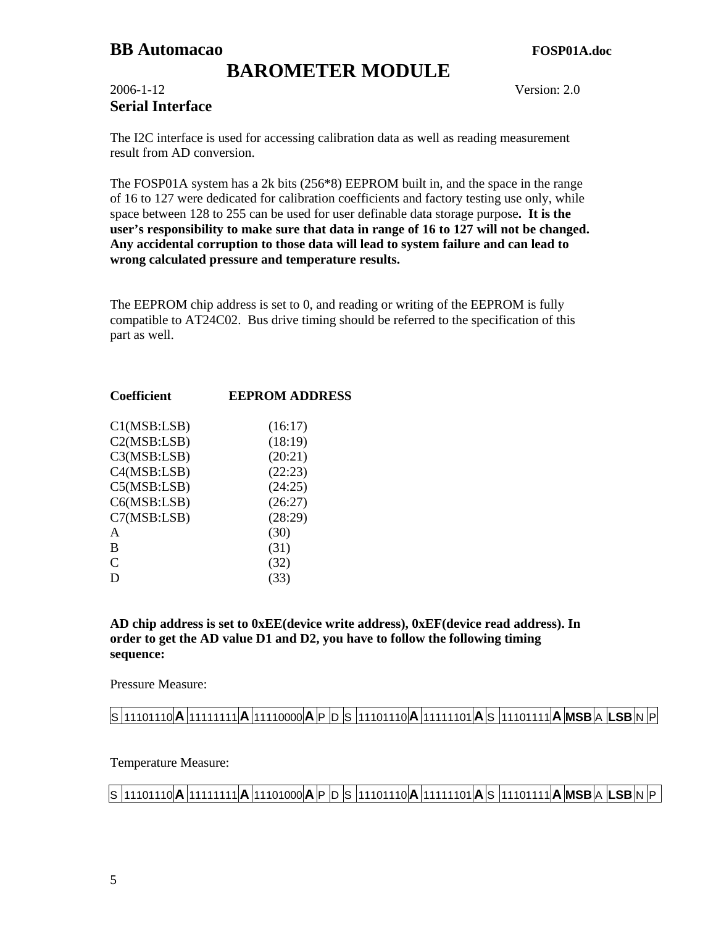## **BAROMETER MODULE**

### 2006-1-12 Version: 2.0 **Serial Interface**

The I2C interface is used for accessing calibration data as well as reading measurement result from AD conversion.

The FOSP01A system has a 2k bits (256\*8) EEPROM built in, and the space in the range of 16 to 127 were dedicated for calibration coefficients and factory testing use only, while space between 128 to 255 can be used for user definable data storage purpose**. It is the user's responsibility to make sure that data in range of 16 to 127 will not be changed. Any accidental corruption to those data will lead to system failure and can lead to wrong calculated pressure and temperature results.** 

The EEPROM chip address is set to 0, and reading or writing of the EEPROM is fully compatible to AT24C02. Bus drive timing should be referred to the specification of this part as well.

| <b>Coefficient</b> | <b>EEPROM ADDRESS</b> |
|--------------------|-----------------------|
| C1(MSB:LSB)        | (16:17)               |
| C2(MSB:LSB)        | (18:19)               |
| C3(MSB:LSB)        | (20:21)               |
| C4(MSB:LSB)        | (22:23)               |
| C5(MSB:LSB)        | (24:25)               |
| C6(MSB:LSB)        | (26:27)               |
| C7(MSB:LSB)        | (28:29)               |
| A                  | (30)                  |
| B                  | (31)                  |
| $\mathcal{C}$      | (32)                  |
| D                  | (33)                  |
|                    |                       |

**AD chip address is set to 0xEE(device write address), 0xEF(device read address). In order to get the AD value D1 and D2, you have to follow the following timing sequence:** 

Pressure Measure:

## S 11101110 **A** 11111111 **A** 11110000 **A** P D S 11101110 **A** 11111101 **A** S 11101111 **A MSB** A **LSB** N P

Temperature Measure:

S 11101110 **A** 11111111 **A** 11101000 **A** P D S 11101110 **A** 11111101 **A** S 11101111 **A MSB** A **LSB** N P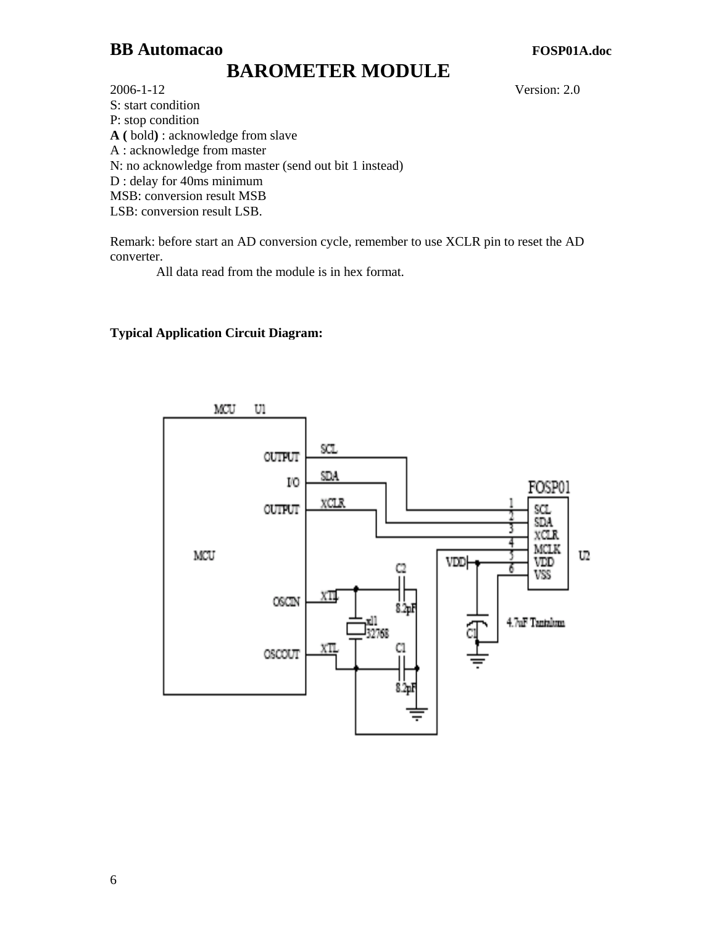# **BAROMETER MODULE**

2006-1-12 Version: 2.0 S: start condition P: stop condition **A (** bold**)** : acknowledge from slave A : acknowledge from master N: no acknowledge from master (send out bit 1 instead) D : delay for 40ms minimum MSB: conversion result MSB LSB: conversion result LSB.

Remark: before start an AD conversion cycle, remember to use XCLR pin to reset the AD converter.

All data read from the module is in hex format.

### **Typical Application Circuit Diagram:**